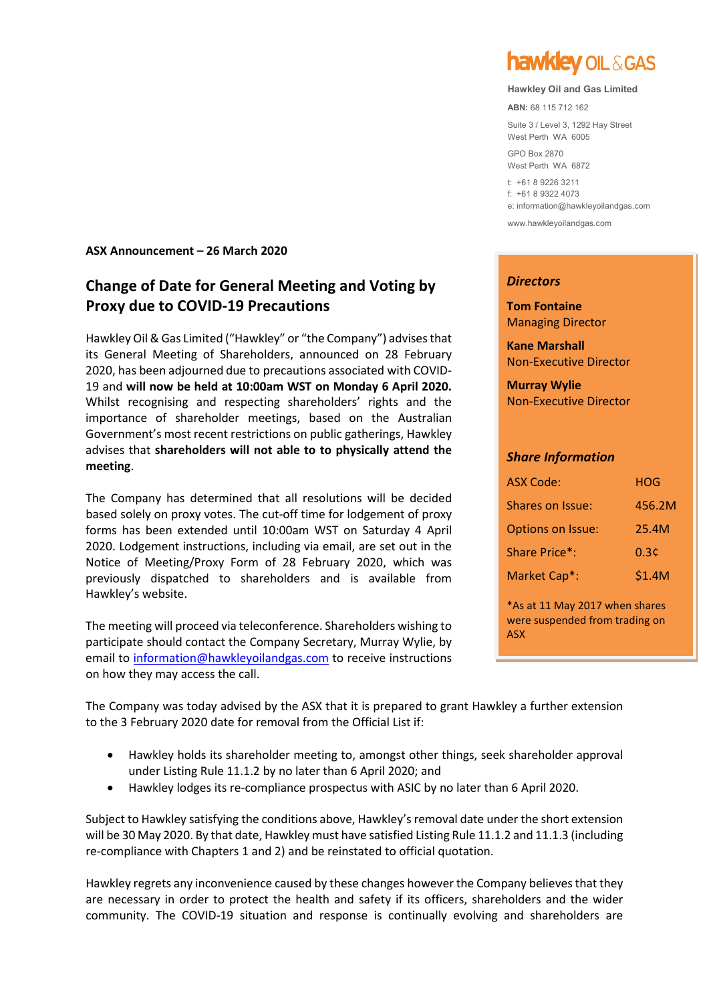### **ASX Announcement – 26 March 2020**

# **Change of Date for General Meeting and Voting by Proxy due to COVID-19 Precautions**

Hawkley Oil & Gas Limited ("Hawkley" or "the Company") advisesthat its General Meeting of Shareholders, announced on 28 February 2020, has been adjourned due to precautions associated with COVID-19 and **will now be held at 10:00am WST on Monday 6 April 2020.**  Whilst recognising and respecting shareholders' rights and the importance of shareholder meetings, based on the Australian Government's most recent restrictions on public gatherings, Hawkley advises that **shareholders will not able to to physically attend the meeting**.

The Company has determined that all resolutions will be decided based solely on proxy votes. The cut-off time for lodgement of proxy forms has been extended until 10:00am WST on Saturday 4 April 2020. Lodgement instructions, including via email, are set out in the Notice of Meeting/Proxy Form of 28 February 2020, which was previously dispatched to shareholders and is available from Hawkley's website.

The meeting will proceed via teleconference. Shareholders wishing to participate should contact the Company Secretary, Murray Wylie, by email to [information@hawkleyoilandgas.com](mailto:information@hawkleyoilandgas.com) to receive instructions on how they may access the call.

**hawklev OIL & GAS** 

#### **Hawkley Oil and Gas Limited**

**ABN:** 68 115 712 162

Suite 3 / Level 3, 1292 Hay Street West Perth WA 6005

GPO Box 2870 West Perth WA 6872

t: +61 8 9226 3211 f: +61 8 9322 4073 e: information@hawkleyoilandgas.com

[www.hawkleyoilandgas.com](http://www.hawkleyoilandgas.com/)

#### *Directors*

**Tom Fontaine** Managing Director

**Kane Marshall** Non-Executive Director

**Murray Wylie** Non-Executive Director

#### *Share Information*

| <b>ASX Code:</b>         | HOG    |
|--------------------------|--------|
| Shares on Issue:         | 456.2M |
| <b>Options on Issue:</b> | 25.4M  |
| Share Price*:            | 0.3¢   |
| Market Cap*:             | \$1.4M |

\*As at 11 May 2017 when shares were suspended from trading on ASX

The Company was today advised by the ASX that it is prepared to grant Hawkley a further extension to the 3 February 2020 date for removal from the Official List if:

- Hawkley holds its shareholder meeting to, amongst other things, seek shareholder approval under Listing Rule 11.1.2 by no later than 6 April 2020; and
- Hawkley lodges its re-compliance prospectus with ASIC by no later than 6 April 2020.

Subject to Hawkley satisfying the conditions above, Hawkley's removal date under the short extension will be 30 May 2020. By that date, Hawkley must have satisfied Listing Rule 11.1.2 and 11.1.3 (including re-compliance with Chapters 1 and 2) and be reinstated to official quotation.

Hawkley regrets any inconvenience caused by these changes however the Company believes that they are necessary in order to protect the health and safety if its officers, shareholders and the wider community. The COVID-19 situation and response is continually evolving and shareholders are